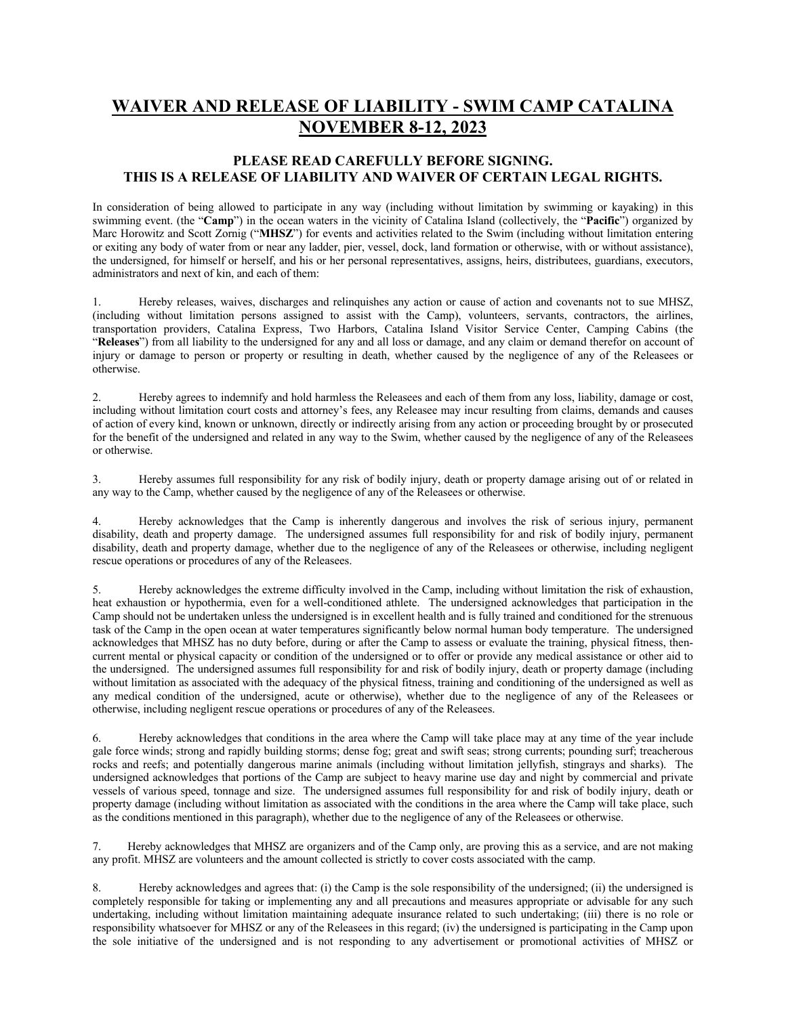## **WAIVER AND RELEASE OF LIABILITY - SWIM CAMP CATALINA NOVEMBER 8-12, 2023**

## **PLEASE READ CAREFULLY BEFORE SIGNING. THIS IS A RELEASE OF LIABILITY AND WAIVER OF CERTAIN LEGAL RIGHTS.**

In consideration of being allowed to participate in any way (including without limitation by swimming or kayaking) in this swimming event. (the "**Camp**") in the ocean waters in the vicinity of Catalina Island (collectively, the "**Pacific**") organized by Marc Horowitz and Scott Zornig ("**MHSZ**") for events and activities related to the Swim (including without limitation entering or exiting any body of water from or near any ladder, pier, vessel, dock, land formation or otherwise, with or without assistance), the undersigned, for himself or herself, and his or her personal representatives, assigns, heirs, distributees, guardians, executors, administrators and next of kin, and each of them:

1. Hereby releases, waives, discharges and relinquishes any action or cause of action and covenants not to sue MHSZ, (including without limitation persons assigned to assist with the Camp), volunteers, servants, contractors, the airlines, transportation providers, Catalina Express, Two Harbors, Catalina Island Visitor Service Center, Camping Cabins (the "**Releases**") from all liability to the undersigned for any and all loss or damage, and any claim or demand therefor on account of injury or damage to person or property or resulting in death, whether caused by the negligence of any of the Releasees or otherwise.

2. Hereby agrees to indemnify and hold harmless the Releasees and each of them from any loss, liability, damage or cost, including without limitation court costs and attorney's fees, any Releasee may incur resulting from claims, demands and causes of action of every kind, known or unknown, directly or indirectly arising from any action or proceeding brought by or prosecuted for the benefit of the undersigned and related in any way to the Swim, whether caused by the negligence of any of the Releasees or otherwise.

3. Hereby assumes full responsibility for any risk of bodily injury, death or property damage arising out of or related in any way to the Camp, whether caused by the negligence of any of the Releasees or otherwise.

4. Hereby acknowledges that the Camp is inherently dangerous and involves the risk of serious injury, permanent disability, death and property damage. The undersigned assumes full responsibility for and risk of bodily injury, permanent disability, death and property damage, whether due to the negligence of any of the Releasees or otherwise, including negligent rescue operations or procedures of any of the Releasees.

5. Hereby acknowledges the extreme difficulty involved in the Camp, including without limitation the risk of exhaustion, heat exhaustion or hypothermia, even for a well-conditioned athlete. The undersigned acknowledges that participation in the Camp should not be undertaken unless the undersigned is in excellent health and is fully trained and conditioned for the strenuous task of the Camp in the open ocean at water temperatures significantly below normal human body temperature. The undersigned acknowledges that MHSZ has no duty before, during or after the Camp to assess or evaluate the training, physical fitness, thencurrent mental or physical capacity or condition of the undersigned or to offer or provide any medical assistance or other aid to the undersigned. The undersigned assumes full responsibility for and risk of bodily injury, death or property damage (including without limitation as associated with the adequacy of the physical fitness, training and conditioning of the undersigned as well as any medical condition of the undersigned, acute or otherwise), whether due to the negligence of any of the Releasees or otherwise, including negligent rescue operations or procedures of any of the Releasees.

6. Hereby acknowledges that conditions in the area where the Camp will take place may at any time of the year include gale force winds; strong and rapidly building storms; dense fog; great and swift seas; strong currents; pounding surf; treacherous rocks and reefs; and potentially dangerous marine animals (including without limitation jellyfish, stingrays and sharks). The undersigned acknowledges that portions of the Camp are subject to heavy marine use day and night by commercial and private vessels of various speed, tonnage and size. The undersigned assumes full responsibility for and risk of bodily injury, death or property damage (including without limitation as associated with the conditions in the area where the Camp will take place, such as the conditions mentioned in this paragraph), whether due to the negligence of any of the Releasees or otherwise.

7. Hereby acknowledges that MHSZ are organizers and of the Camp only, are proving this as a service, and are not making any profit. MHSZ are volunteers and the amount collected is strictly to cover costs associated with the camp.

8. Hereby acknowledges and agrees that: (i) the Camp is the sole responsibility of the undersigned; (ii) the undersigned is completely responsible for taking or implementing any and all precautions and measures appropriate or advisable for any such undertaking, including without limitation maintaining adequate insurance related to such undertaking; (iii) there is no role or responsibility whatsoever for MHSZ or any of the Releasees in this regard; (iv) the undersigned is participating in the Camp upon the sole initiative of the undersigned and is not responding to any advertisement or promotional activities of MHSZ or